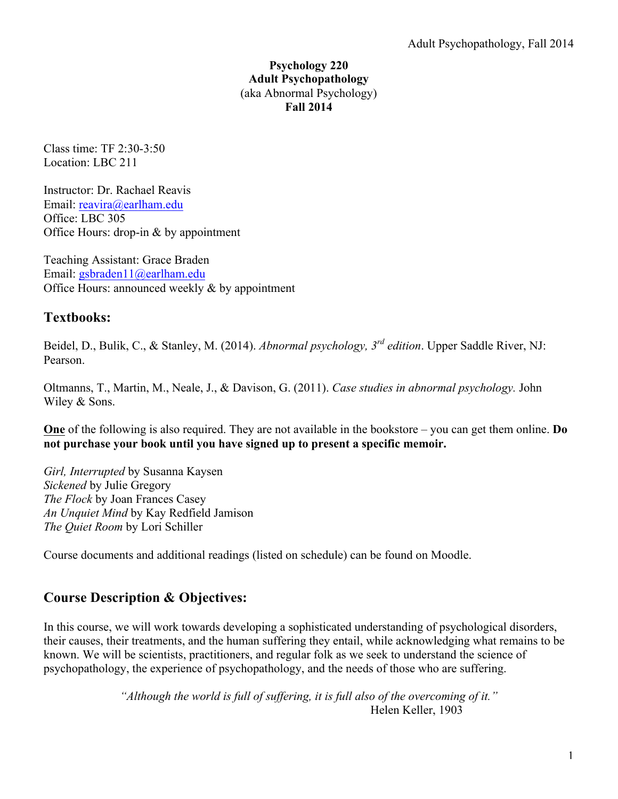### **Psychology 220 Adult Psychopathology** (aka Abnormal Psychology) **Fall 2014**

Class time: TF 2:30-3:50 Location: LBC 211

Instructor: Dr. Rachael Reavis Email: reavira@earlham.edu Office: LBC 305 Office Hours: drop-in & by appointment

Teaching Assistant: Grace Braden Email: gsbraden11@earlham.edu Office Hours: announced weekly & by appointment

## **Textbooks:**

Beidel, D., Bulik, C., & Stanley, M. (2014). *Abnormal psychology, 3rd edition*. Upper Saddle River, NJ: Pearson.

Oltmanns, T., Martin, M., Neale, J., & Davison, G. (2011). *Case studies in abnormal psychology.* John Wiley & Sons.

**One** of the following is also required. They are not available in the bookstore – you can get them online. **Do not purchase your book until you have signed up to present a specific memoir.**

*Girl, Interrupted* by Susanna Kaysen *Sickened* by Julie Gregory *The Flock* by Joan Frances Casey *An Unquiet Mind* by Kay Redfield Jamison *The Quiet Room* by Lori Schiller

Course documents and additional readings (listed on schedule) can be found on Moodle.

# **Course Description & Objectives:**

In this course, we will work towards developing a sophisticated understanding of psychological disorders, their causes, their treatments, and the human suffering they entail, while acknowledging what remains to be known. We will be scientists, practitioners, and regular folk as we seek to understand the science of psychopathology, the experience of psychopathology, and the needs of those who are suffering.

> *"Although the world is full of suffering, it is full also of the overcoming of it."* Helen Keller, 1903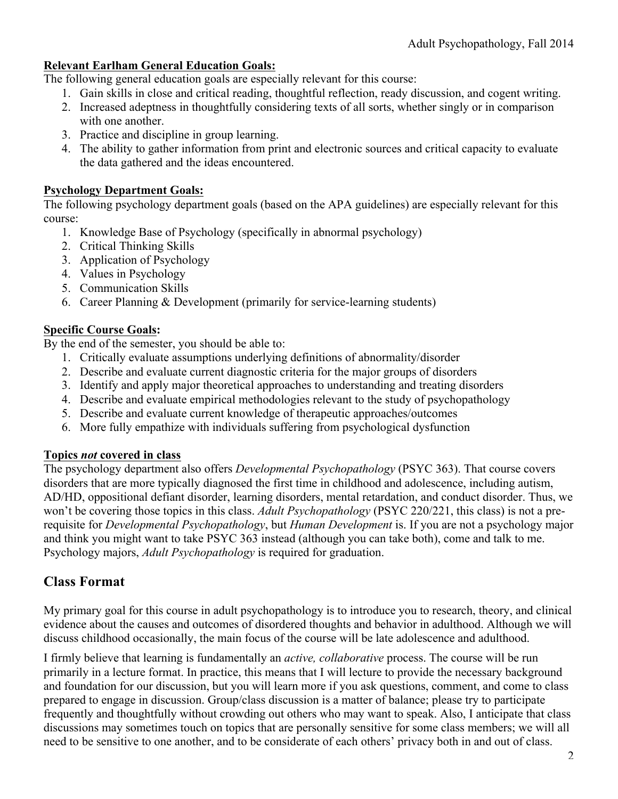## **Relevant Earlham General Education Goals:**

The following general education goals are especially relevant for this course:

- 1. Gain skills in close and critical reading, thoughtful reflection, ready discussion, and cogent writing.
- 2. Increased adeptness in thoughtfully considering texts of all sorts, whether singly or in comparison with one another.
- 3. Practice and discipline in group learning.
- 4. The ability to gather information from print and electronic sources and critical capacity to evaluate the data gathered and the ideas encountered.

### **Psychology Department Goals:**

The following psychology department goals (based on the APA guidelines) are especially relevant for this course:

- 1. Knowledge Base of Psychology (specifically in abnormal psychology)
- 2. Critical Thinking Skills
- 3. Application of Psychology
- 4. Values in Psychology
- 5. Communication Skills
- 6. Career Planning & Development (primarily for service-learning students)

## **Specific Course Goals:**

By the end of the semester, you should be able to:

- 1. Critically evaluate assumptions underlying definitions of abnormality/disorder
- 2. Describe and evaluate current diagnostic criteria for the major groups of disorders
- 3. Identify and apply major theoretical approaches to understanding and treating disorders
- 4. Describe and evaluate empirical methodologies relevant to the study of psychopathology
- 5. Describe and evaluate current knowledge of therapeutic approaches/outcomes
- 6. More fully empathize with individuals suffering from psychological dysfunction

## **Topics** *not* **covered in class**

The psychology department also offers *Developmental Psychopathology* (PSYC 363). That course covers disorders that are more typically diagnosed the first time in childhood and adolescence, including autism, AD/HD, oppositional defiant disorder, learning disorders, mental retardation, and conduct disorder. Thus, we won't be covering those topics in this class. *Adult Psychopathology* (PSYC 220/221, this class) is not a prerequisite for *Developmental Psychopathology*, but *Human Development* is. If you are not a psychology major and think you might want to take PSYC 363 instead (although you can take both), come and talk to me. Psychology majors, *Adult Psychopathology* is required for graduation.

## **Class Format**

My primary goal for this course in adult psychopathology is to introduce you to research, theory, and clinical evidence about the causes and outcomes of disordered thoughts and behavior in adulthood. Although we will discuss childhood occasionally, the main focus of the course will be late adolescence and adulthood.

I firmly believe that learning is fundamentally an *active, collaborative* process. The course will be run primarily in a lecture format. In practice, this means that I will lecture to provide the necessary background and foundation for our discussion, but you will learn more if you ask questions, comment, and come to class prepared to engage in discussion. Group/class discussion is a matter of balance; please try to participate frequently and thoughtfully without crowding out others who may want to speak. Also, I anticipate that class discussions may sometimes touch on topics that are personally sensitive for some class members; we will all need to be sensitive to one another, and to be considerate of each others' privacy both in and out of class.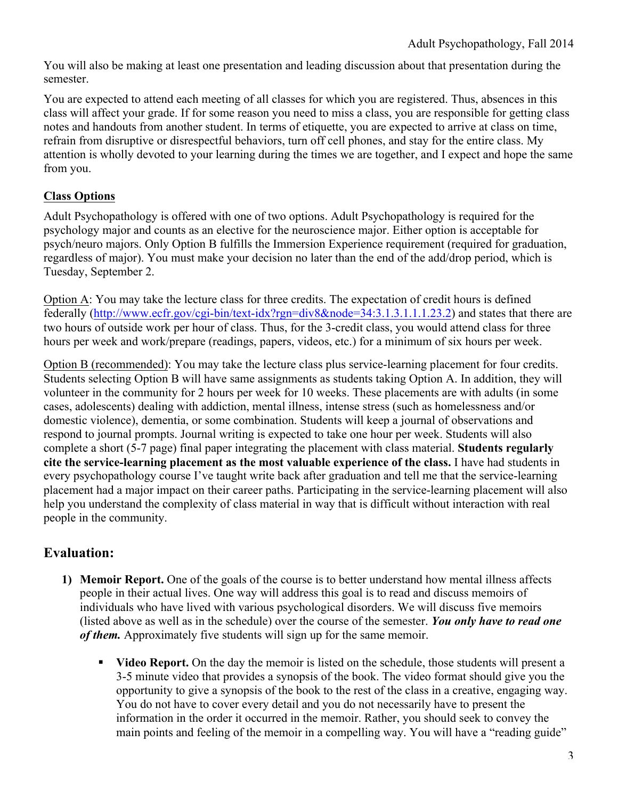You will also be making at least one presentation and leading discussion about that presentation during the semester.

You are expected to attend each meeting of all classes for which you are registered. Thus, absences in this class will affect your grade. If for some reason you need to miss a class, you are responsible for getting class notes and handouts from another student. In terms of etiquette, you are expected to arrive at class on time, refrain from disruptive or disrespectful behaviors, turn off cell phones, and stay for the entire class. My attention is wholly devoted to your learning during the times we are together, and I expect and hope the same from you.

## **Class Options**

Adult Psychopathology is offered with one of two options. Adult Psychopathology is required for the psychology major and counts as an elective for the neuroscience major. Either option is acceptable for psych/neuro majors. Only Option B fulfills the Immersion Experience requirement (required for graduation, regardless of major). You must make your decision no later than the end of the add/drop period, which is Tuesday, September 2.

Option A: You may take the lecture class for three credits. The expectation of credit hours is defined federally (http://www.ecfr.gov/cgi-bin/text-idx?rgn=div8&node=34:3.1.3.1.1.1.23.2) and states that there are two hours of outside work per hour of class. Thus, for the 3-credit class, you would attend class for three hours per week and work/prepare (readings, papers, videos, etc.) for a minimum of six hours per week.

Option B (recommended): You may take the lecture class plus service-learning placement for four credits. Students selecting Option B will have same assignments as students taking Option A. In addition, they will volunteer in the community for 2 hours per week for 10 weeks. These placements are with adults (in some cases, adolescents) dealing with addiction, mental illness, intense stress (such as homelessness and/or domestic violence), dementia, or some combination. Students will keep a journal of observations and respond to journal prompts. Journal writing is expected to take one hour per week. Students will also complete a short (5-7 page) final paper integrating the placement with class material. **Students regularly cite the service-learning placement as the most valuable experience of the class.** I have had students in every psychopathology course I've taught write back after graduation and tell me that the service-learning placement had a major impact on their career paths. Participating in the service-learning placement will also help you understand the complexity of class material in way that is difficult without interaction with real people in the community.

# **Evaluation:**

- **1) Memoir Report.** One of the goals of the course is to better understand how mental illness affects people in their actual lives. One way will address this goal is to read and discuss memoirs of individuals who have lived with various psychological disorders. We will discuss five memoirs (listed above as well as in the schedule) over the course of the semester. *You only have to read one of them.* Approximately five students will sign up for the same memoir.
	- ! **Video Report.** On the day the memoir is listed on the schedule, those students will present a 3-5 minute video that provides a synopsis of the book. The video format should give you the opportunity to give a synopsis of the book to the rest of the class in a creative, engaging way. You do not have to cover every detail and you do not necessarily have to present the information in the order it occurred in the memoir. Rather, you should seek to convey the main points and feeling of the memoir in a compelling way. You will have a "reading guide"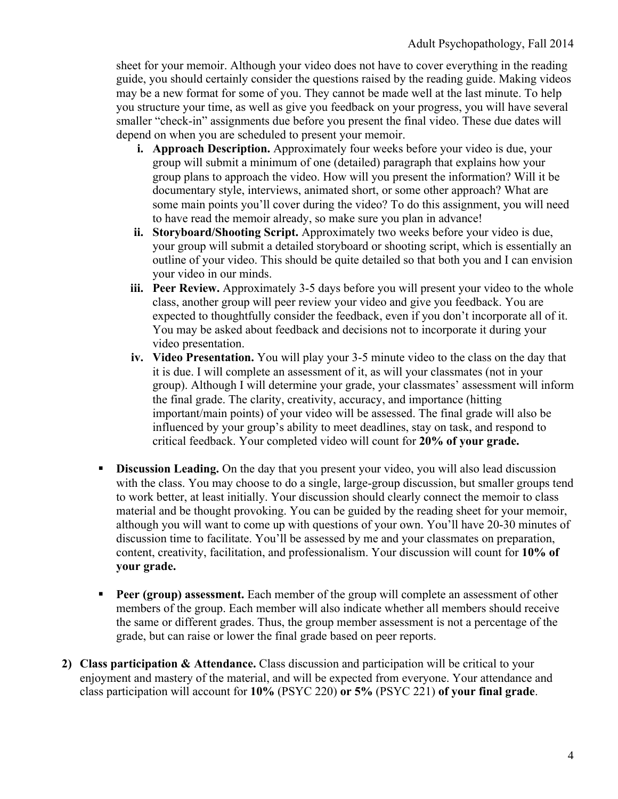sheet for your memoir. Although your video does not have to cover everything in the reading guide, you should certainly consider the questions raised by the reading guide. Making videos may be a new format for some of you. They cannot be made well at the last minute. To help you structure your time, as well as give you feedback on your progress, you will have several smaller "check-in" assignments due before you present the final video. These due dates will depend on when you are scheduled to present your memoir.

- **i. Approach Description.** Approximately four weeks before your video is due, your group will submit a minimum of one (detailed) paragraph that explains how your group plans to approach the video. How will you present the information? Will it be documentary style, interviews, animated short, or some other approach? What are some main points you'll cover during the video? To do this assignment, you will need to have read the memoir already, so make sure you plan in advance!
- **ii. Storyboard/Shooting Script.** Approximately two weeks before your video is due, your group will submit a detailed storyboard or shooting script, which is essentially an outline of your video. This should be quite detailed so that both you and I can envision your video in our minds.
- **iii.** Peer Review. Approximately 3-5 days before you will present your video to the whole class, another group will peer review your video and give you feedback. You are expected to thoughtfully consider the feedback, even if you don't incorporate all of it. You may be asked about feedback and decisions not to incorporate it during your video presentation.
- **iv. Video Presentation.** You will play your 3-5 minute video to the class on the day that it is due. I will complete an assessment of it, as will your classmates (not in your group). Although I will determine your grade, your classmates' assessment will inform the final grade. The clarity, creativity, accuracy, and importance (hitting important/main points) of your video will be assessed. The final grade will also be influenced by your group's ability to meet deadlines, stay on task, and respond to critical feedback. Your completed video will count for **20% of your grade.**
- **Discussion Leading.** On the day that you present your video, you will also lead discussion with the class. You may choose to do a single, large-group discussion, but smaller groups tend to work better, at least initially. Your discussion should clearly connect the memoir to class material and be thought provoking. You can be guided by the reading sheet for your memoir, although you will want to come up with questions of your own. You'll have 20-30 minutes of discussion time to facilitate. You'll be assessed by me and your classmates on preparation, content, creativity, facilitation, and professionalism. Your discussion will count for **10% of your grade.**
- **Peer (group) assessment.** Each member of the group will complete an assessment of other members of the group. Each member will also indicate whether all members should receive the same or different grades. Thus, the group member assessment is not a percentage of the grade, but can raise or lower the final grade based on peer reports.
- **2) Class participation & Attendance.** Class discussion and participation will be critical to your enjoyment and mastery of the material, and will be expected from everyone. Your attendance and class participation will account for **10%** (PSYC 220) **or 5%** (PSYC 221) **of your final grade**.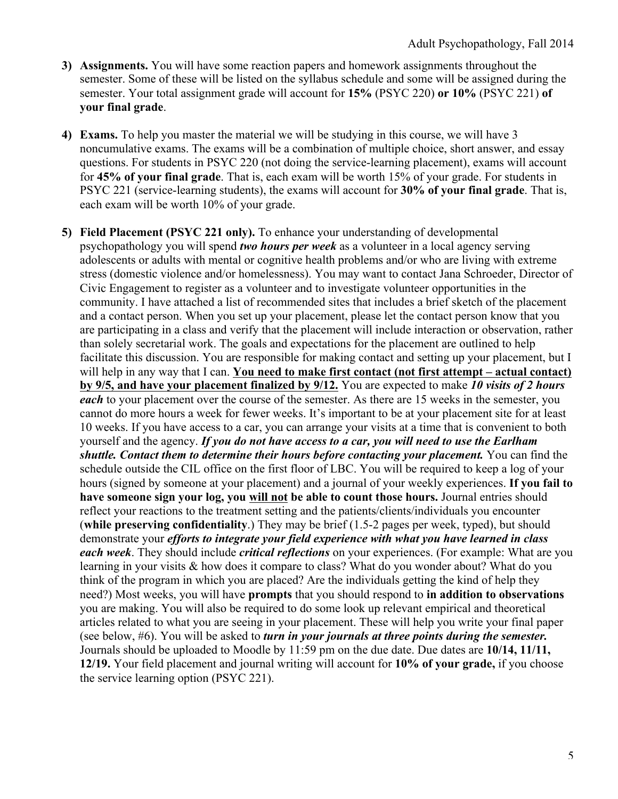- **3) Assignments.** You will have some reaction papers and homework assignments throughout the semester. Some of these will be listed on the syllabus schedule and some will be assigned during the semester. Your total assignment grade will account for **15%** (PSYC 220) **or 10%** (PSYC 221) **of your final grade**.
- **4) Exams.** To help you master the material we will be studying in this course, we will have 3 noncumulative exams. The exams will be a combination of multiple choice, short answer, and essay questions. For students in PSYC 220 (not doing the service-learning placement), exams will account for **45% of your final grade**. That is, each exam will be worth 15% of your grade. For students in PSYC 221 (service-learning students), the exams will account for **30% of your final grade**. That is, each exam will be worth 10% of your grade.
- **5) Field Placement (PSYC 221 only).** To enhance your understanding of developmental psychopathology you will spend *two hours per week* as a volunteer in a local agency serving adolescents or adults with mental or cognitive health problems and/or who are living with extreme stress (domestic violence and/or homelessness). You may want to contact Jana Schroeder, Director of Civic Engagement to register as a volunteer and to investigate volunteer opportunities in the community. I have attached a list of recommended sites that includes a brief sketch of the placement and a contact person. When you set up your placement, please let the contact person know that you are participating in a class and verify that the placement will include interaction or observation, rather than solely secretarial work. The goals and expectations for the placement are outlined to help facilitate this discussion. You are responsible for making contact and setting up your placement, but I will help in any way that I can. **You need to make first contact (not first attempt – actual contact) by 9/5, and have your placement finalized by 9/12.** You are expected to make *10 visits of 2 hours each* to your placement over the course of the semester. As there are 15 weeks in the semester, you cannot do more hours a week for fewer weeks. It's important to be at your placement site for at least 10 weeks. If you have access to a car, you can arrange your visits at a time that is convenient to both yourself and the agency. *If you do not have access to a car, you will need to use the Earlham shuttle. Contact them to determine their hours before contacting your placement.* You can find the schedule outside the CIL office on the first floor of LBC. You will be required to keep a log of your hours (signed by someone at your placement) and a journal of your weekly experiences. **If you fail to have someone sign your log, you will not be able to count those hours.** Journal entries should reflect your reactions to the treatment setting and the patients/clients/individuals you encounter (**while preserving confidentiality**.) They may be brief (1.5-2 pages per week, typed), but should demonstrate your *efforts to integrate your field experience with what you have learned in class each week*. They should include *critical reflections* on your experiences. (For example: What are you learning in your visits & how does it compare to class? What do you wonder about? What do you think of the program in which you are placed? Are the individuals getting the kind of help they need?) Most weeks, you will have **prompts** that you should respond to **in addition to observations** you are making. You will also be required to do some look up relevant empirical and theoretical articles related to what you are seeing in your placement. These will help you write your final paper (see below, #6). You will be asked to *turn in your journals at three points during the semester.*  Journals should be uploaded to Moodle by 11:59 pm on the due date. Due dates are **10/14, 11/11, 12/19.** Your field placement and journal writing will account for **10% of your grade,** if you choose the service learning option (PSYC 221).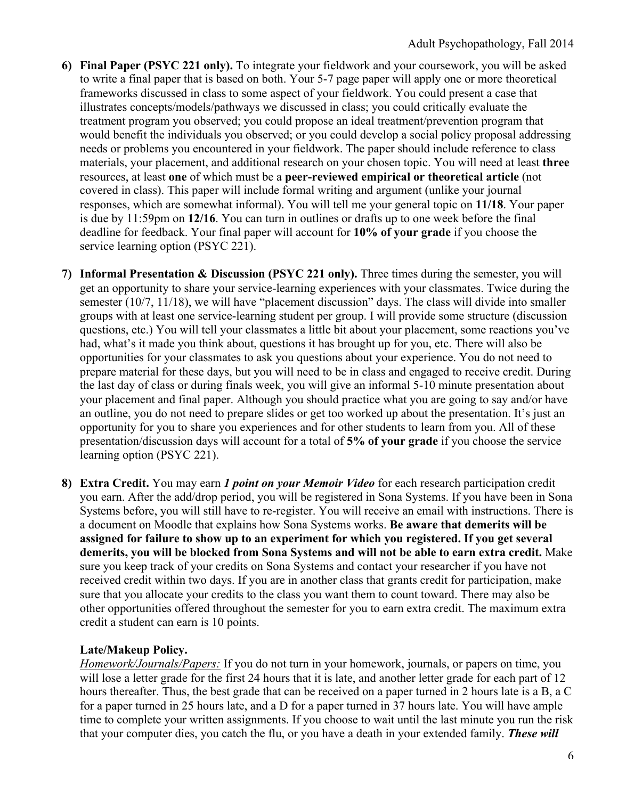- **6) Final Paper (PSYC 221 only).** To integrate your fieldwork and your coursework, you will be asked to write a final paper that is based on both. Your 5-7 page paper will apply one or more theoretical frameworks discussed in class to some aspect of your fieldwork. You could present a case that illustrates concepts/models/pathways we discussed in class; you could critically evaluate the treatment program you observed; you could propose an ideal treatment/prevention program that would benefit the individuals you observed; or you could develop a social policy proposal addressing needs or problems you encountered in your fieldwork. The paper should include reference to class materials, your placement, and additional research on your chosen topic. You will need at least **three** resources, at least **one** of which must be a **peer-reviewed empirical or theoretical article** (not covered in class). This paper will include formal writing and argument (unlike your journal responses, which are somewhat informal). You will tell me your general topic on **11/18**. Your paper is due by 11:59pm on **12/16**. You can turn in outlines or drafts up to one week before the final deadline for feedback. Your final paper will account for **10% of your grade** if you choose the service learning option (PSYC 221).
- **7) Informal Presentation & Discussion (PSYC 221 only).** Three times during the semester, you will get an opportunity to share your service-learning experiences with your classmates. Twice during the semester (10/7, 11/18), we will have "placement discussion" days. The class will divide into smaller groups with at least one service-learning student per group. I will provide some structure (discussion questions, etc.) You will tell your classmates a little bit about your placement, some reactions you've had, what's it made you think about, questions it has brought up for you, etc. There will also be opportunities for your classmates to ask you questions about your experience. You do not need to prepare material for these days, but you will need to be in class and engaged to receive credit. During the last day of class or during finals week, you will give an informal 5-10 minute presentation about your placement and final paper. Although you should practice what you are going to say and/or have an outline, you do not need to prepare slides or get too worked up about the presentation. It's just an opportunity for you to share you experiences and for other students to learn from you. All of these presentation/discussion days will account for a total of **5% of your grade** if you choose the service learning option (PSYC 221).
- **8) Extra Credit.** You may earn *1 point on your Memoir Video* for each research participation credit you earn. After the add/drop period, you will be registered in Sona Systems. If you have been in Sona Systems before, you will still have to re-register. You will receive an email with instructions. There is a document on Moodle that explains how Sona Systems works. **Be aware that demerits will be assigned for failure to show up to an experiment for which you registered. If you get several demerits, you will be blocked from Sona Systems and will not be able to earn extra credit.** Make sure you keep track of your credits on Sona Systems and contact your researcher if you have not received credit within two days. If you are in another class that grants credit for participation, make sure that you allocate your credits to the class you want them to count toward. There may also be other opportunities offered throughout the semester for you to earn extra credit. The maximum extra credit a student can earn is 10 points.

## **Late/Makeup Policy.**

*Homework/Journals/Papers:* If you do not turn in your homework, journals, or papers on time, you will lose a letter grade for the first 24 hours that it is late, and another letter grade for each part of 12 hours thereafter. Thus, the best grade that can be received on a paper turned in 2 hours late is a B, a C for a paper turned in 25 hours late, and a D for a paper turned in 37 hours late. You will have ample time to complete your written assignments. If you choose to wait until the last minute you run the risk that your computer dies, you catch the flu, or you have a death in your extended family. *These will*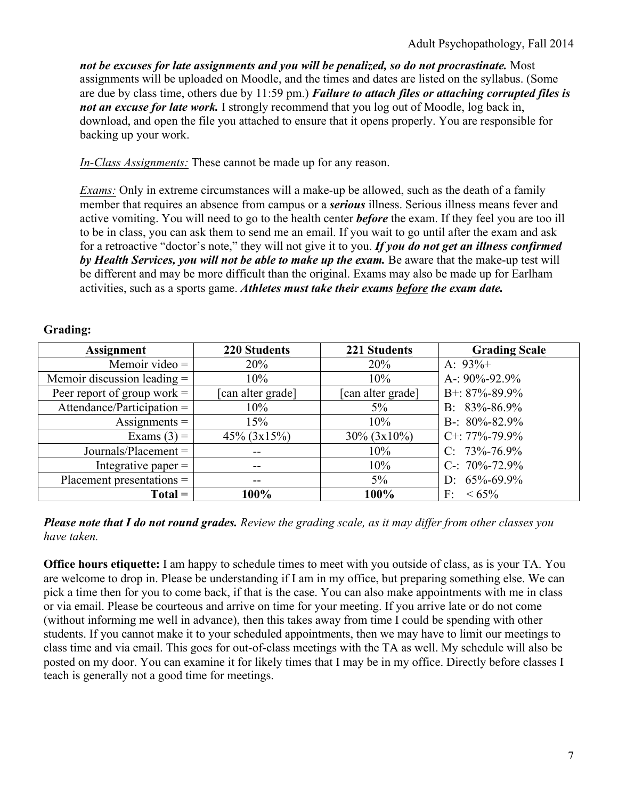*not be excuses for late assignments and you will be penalized, so do not procrastinate.* Most assignments will be uploaded on Moodle, and the times and dates are listed on the syllabus. (Some are due by class time, others due by 11:59 pm.) *Failure to attach files or attaching corrupted files is not an excuse for late work*. I strongly recommend that you log out of Moodle, log back in, download, and open the file you attached to ensure that it opens properly. You are responsible for backing up your work.

*In-Class Assignments:* These cannot be made up for any reason.

*Exams:* Only in extreme circumstances will a make-up be allowed, such as the death of a family member that requires an absence from campus or a *serious* illness. Serious illness means fever and active vomiting. You will need to go to the health center *before* the exam. If they feel you are too ill to be in class, you can ask them to send me an email. If you wait to go until after the exam and ask for a retroactive "doctor's note," they will not give it to you. *If you do not get an illness confirmed by Health Services, you will not be able to make up the exam.* Be aware that the make-up test will be different and may be more difficult than the original. Exams may also be made up for Earlham activities, such as a sports game. *Athletes must take their exams before the exam date.*

| <b>Assignment</b>             | <b>220 Students</b> | 221 Students      | <b>Grading Scale</b> |
|-------------------------------|---------------------|-------------------|----------------------|
| Memoir video $=$              | 20%                 | 20%               | A: $93\%+$           |
| Memoir discussion leading $=$ | 10%                 | 10%               | A-: $90\% - 92.9\%$  |
| Peer report of group work $=$ | [can alter grade]   | [can alter grade] | B+: $87\% - 89.9\%$  |
| Attendance/Participation $=$  | 10%                 | $5\%$             | B: $83\% - 86.9\%$   |
| Assignments $=$               | 15%                 | 10%               | B-: $80\% - 82.9\%$  |
| Exams $(3) =$                 | $45\% (3x15\%)$     | $30\% (3x10\%)$   | $C+$ : 77%-79.9%     |
| $Journals/Placement =$        | --                  | 10%               | $C: 73\% - 76.9\%$   |
| Integrative paper $=$         | $- -$               | 10%               | C-: $70\% - 72.9\%$  |
| $Placement presentations =$   | $- -$               | 5%                | D: $65\% - 69.9\%$   |
| $Total =$                     | 100%                | 100%              | $F: < 65\%$          |

#### **Grading:**

*Please note that I do not round grades. Review the grading scale, as it may differ from other classes you have taken.*

**Office hours etiquette:** I am happy to schedule times to meet with you outside of class, as is your TA. You are welcome to drop in. Please be understanding if I am in my office, but preparing something else. We can pick a time then for you to come back, if that is the case. You can also make appointments with me in class or via email. Please be courteous and arrive on time for your meeting. If you arrive late or do not come (without informing me well in advance), then this takes away from time I could be spending with other students. If you cannot make it to your scheduled appointments, then we may have to limit our meetings to class time and via email. This goes for out-of-class meetings with the TA as well. My schedule will also be posted on my door. You can examine it for likely times that I may be in my office. Directly before classes I teach is generally not a good time for meetings.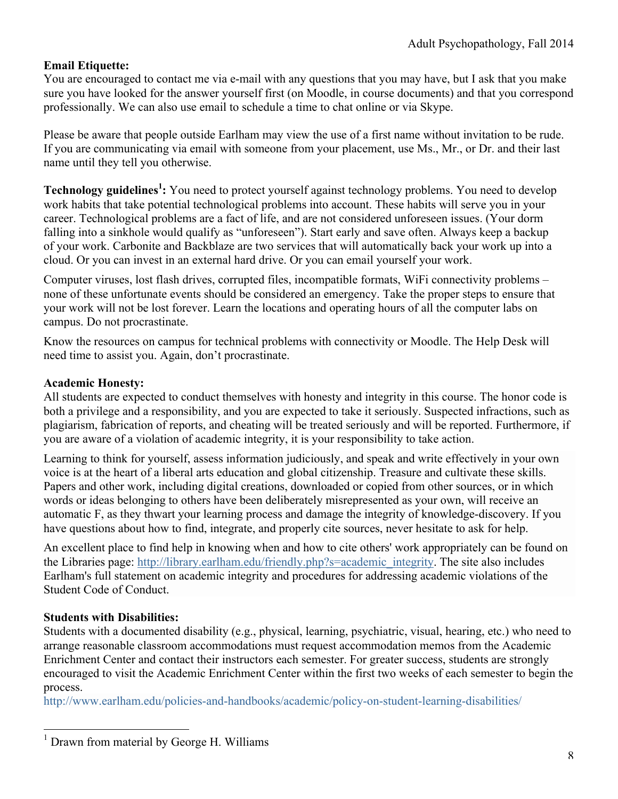### **Email Etiquette:**

You are encouraged to contact me via e-mail with any questions that you may have, but I ask that you make sure you have looked for the answer yourself first (on Moodle, in course documents) and that you correspond professionally. We can also use email to schedule a time to chat online or via Skype.

Please be aware that people outside Earlham may view the use of a first name without invitation to be rude. If you are communicating via email with someone from your placement, use Ms., Mr., or Dr. and their last name until they tell you otherwise.

**Technology guidelines<sup>1</sup>:** You need to protect yourself against technology problems. You need to develop work habits that take potential technological problems into account. These habits will serve you in your career. Technological problems are a fact of life, and are not considered unforeseen issues. (Your dorm falling into a sinkhole would qualify as "unforeseen"). Start early and save often. Always keep a backup of your work. Carbonite and Backblaze are two services that will automatically back your work up into a cloud. Or you can invest in an external hard drive. Or you can email yourself your work.

Computer viruses, lost flash drives, corrupted files, incompatible formats, WiFi connectivity problems – none of these unfortunate events should be considered an emergency. Take the proper steps to ensure that your work will not be lost forever. Learn the locations and operating hours of all the computer labs on campus. Do not procrastinate.

Know the resources on campus for technical problems with connectivity or Moodle. The Help Desk will need time to assist you. Again, don't procrastinate.

### **Academic Honesty:**

All students are expected to conduct themselves with honesty and integrity in this course. The honor code is both a privilege and a responsibility, and you are expected to take it seriously. Suspected infractions, such as plagiarism, fabrication of reports, and cheating will be treated seriously and will be reported. Furthermore, if you are aware of a violation of academic integrity, it is your responsibility to take action.

Learning to think for yourself, assess information judiciously, and speak and write effectively in your own voice is at the heart of a liberal arts education and global citizenship. Treasure and cultivate these skills. Papers and other work, including digital creations, downloaded or copied from other sources, or in which words or ideas belonging to others have been deliberately misrepresented as your own, will receive an automatic F, as they thwart your learning process and damage the integrity of knowledge-discovery. If you have questions about how to find, integrate, and properly cite sources, never hesitate to ask for help.

An excellent place to find help in knowing when and how to cite others' work appropriately can be found on the Libraries page: http://library.earlham.edu/friendly.php?s=academic\_integrity. The site also includes Earlham's full statement on academic integrity and procedures for addressing academic violations of the Student Code of Conduct.

### **Students with Disabilities:**

Students with a documented disability (e.g., physical, learning, psychiatric, visual, hearing, etc.) who need to arrange reasonable classroom accommodations must request accommodation memos from the Academic Enrichment Center and contact their instructors each semester. For greater success, students are strongly encouraged to visit the Academic Enrichment Center within the first two weeks of each semester to begin the process.

http://www.earlham.edu/policies-and-handbooks/academic/policy-on-student-learning-disabilities/

 $<sup>1</sup>$  Drawn from material by George H. Williams</sup>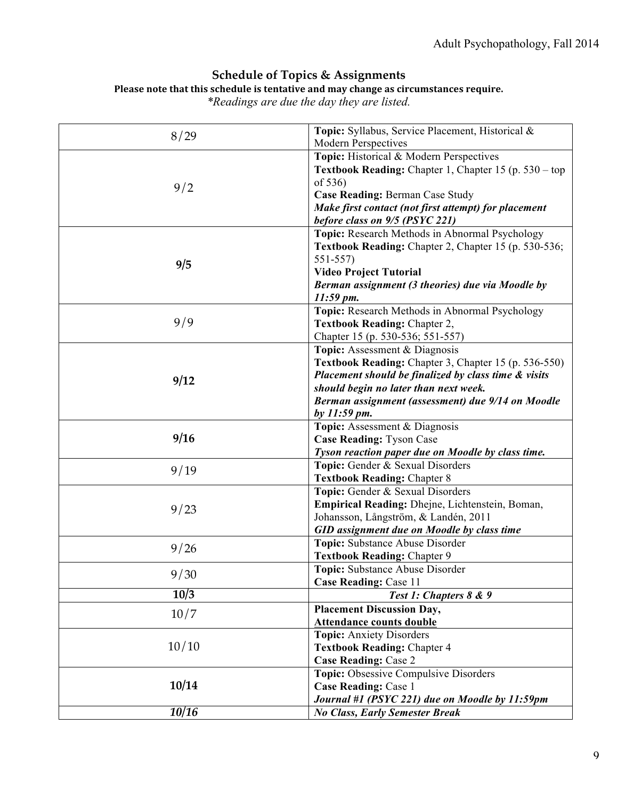## **Schedule of Topics & Assignments**

#### Please note that this schedule is tentative and may change as circumstances require.

*\*Readings are due the day they are listed.*

| 8/29  | Topic: Syllabus, Service Placement, Historical &      |  |
|-------|-------------------------------------------------------|--|
|       | <b>Modern Perspectives</b>                            |  |
|       | Topic: Historical & Modern Perspectives               |  |
|       | Textbook Reading: Chapter 1, Chapter 15 (p. 530 – top |  |
| 9/2   | of 536)                                               |  |
|       | Case Reading: Berman Case Study                       |  |
|       | Make first contact (not first attempt) for placement  |  |
|       | before class on 9/5 (PSYC 221)                        |  |
|       | Topic: Research Methods in Abnormal Psychology        |  |
|       | Textbook Reading: Chapter 2, Chapter 15 (p. 530-536;  |  |
| 9/5   | $551 - 557$                                           |  |
|       | <b>Video Project Tutorial</b>                         |  |
|       | Berman assignment (3 theories) due via Moodle by      |  |
|       | $11:59 \, \text{pm}.$                                 |  |
|       | Topic: Research Methods in Abnormal Psychology        |  |
| 9/9   | Textbook Reading: Chapter 2,                          |  |
|       | Chapter 15 (p. 530-536; 551-557)                      |  |
|       | Topic: Assessment & Diagnosis                         |  |
|       | Textbook Reading: Chapter 3, Chapter 15 (p. 536-550)  |  |
| 9/12  | Placement should be finalized by class time & visits  |  |
|       | should begin no later than next week.                 |  |
|       | Berman assignment (assessment) due 9/14 on Moodle     |  |
|       | by 11:59 pm.                                          |  |
|       | Topic: Assessment & Diagnosis                         |  |
| 9/16  | <b>Case Reading: Tyson Case</b>                       |  |
|       | Tyson reaction paper due on Moodle by class time.     |  |
| 9/19  | Topic: Gender & Sexual Disorders                      |  |
|       | <b>Textbook Reading: Chapter 8</b>                    |  |
|       | Topic: Gender & Sexual Disorders                      |  |
| 9/23  | Empirical Reading: Dhejne, Lichtenstein, Boman,       |  |
|       | Johansson, Långström, & Landén, 2011                  |  |
|       | <b>GID</b> assignment due on Moodle by class time     |  |
| 9/26  | Topic: Substance Abuse Disorder                       |  |
|       | <b>Textbook Reading: Chapter 9</b>                    |  |
| 9/30  | Topic: Substance Abuse Disorder                       |  |
|       | Case Reading: Case 11                                 |  |
| 10/3  | Test 1: Chapters 8 & 9                                |  |
| 10/7  | <b>Placement Discussion Day,</b>                      |  |
|       | Attendance counts double                              |  |
|       | <b>Topic:</b> Anxiety Disorders                       |  |
| 10/10 | <b>Textbook Reading: Chapter 4</b>                    |  |
|       | <b>Case Reading: Case 2</b>                           |  |
|       | Topic: Obsessive Compulsive Disorders                 |  |
| 10/14 | Case Reading: Case 1                                  |  |
| 10/16 | Journal #1 (PSYC 221) due on Moodle by 11:59pm        |  |
|       | <b>No Class, Early Semester Break</b>                 |  |